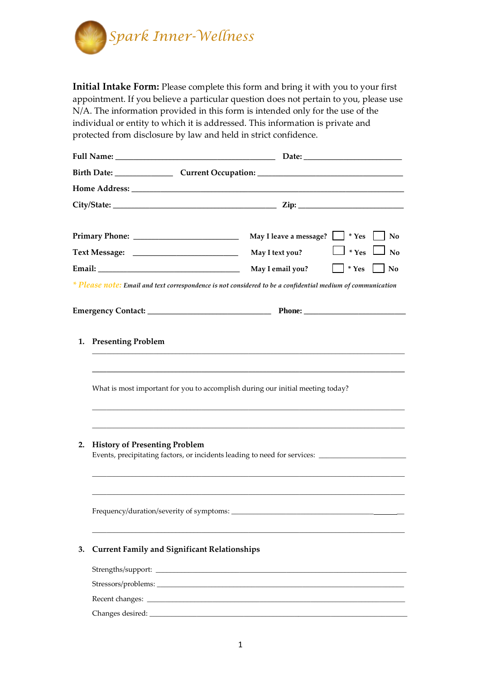

**Initial Intake Form:** Please complete this form and bring it with you to your first appointment. If you believe a particular question does not pertain to you, please use N/A. The information provided in this form is intended only for the use of the individual or entity to which it is addressed. This information is private and protected from disclosure by law and held in strict confidence.

|                                                                                                                                                                                                                                |                                                     | Birth Date: _____________________Current Occupation: ___________________________                            |  |  |
|--------------------------------------------------------------------------------------------------------------------------------------------------------------------------------------------------------------------------------|-----------------------------------------------------|-------------------------------------------------------------------------------------------------------------|--|--|
|                                                                                                                                                                                                                                |                                                     |                                                                                                             |  |  |
|                                                                                                                                                                                                                                |                                                     | $\text{City}/\text{State:}$ $\qquad \qquad \qquad \text{Zip:}$                                              |  |  |
|                                                                                                                                                                                                                                |                                                     | May I leave a message?   * Yes<br>$\vert$ No                                                                |  |  |
|                                                                                                                                                                                                                                |                                                     | $\perp$ * Yes $\perp$ No<br>May I text you?                                                                 |  |  |
| Email: The contract of the contract of the contract of the contract of the contract of the contract of the contract of the contract of the contract of the contract of the contract of the contract of the contract of the con |                                                     | May I email you?<br>$*$ Yes<br>No                                                                           |  |  |
|                                                                                                                                                                                                                                |                                                     | * Please note: Email and text correspondence is not considered to be a confidential medium of communication |  |  |
|                                                                                                                                                                                                                                |                                                     |                                                                                                             |  |  |
|                                                                                                                                                                                                                                | 1. Presenting Problem                               |                                                                                                             |  |  |
|                                                                                                                                                                                                                                |                                                     | What is most important for you to accomplish during our initial meeting today?                              |  |  |
| 2.                                                                                                                                                                                                                             | <b>History of Presenting Problem</b>                | Events, precipitating factors, or incidents leading to need for services: _________________________         |  |  |
|                                                                                                                                                                                                                                | Frequency/duration/severity of symptoms:            |                                                                                                             |  |  |
| 3.                                                                                                                                                                                                                             | <b>Current Family and Significant Relationships</b> |                                                                                                             |  |  |
|                                                                                                                                                                                                                                |                                                     |                                                                                                             |  |  |
|                                                                                                                                                                                                                                |                                                     |                                                                                                             |  |  |
|                                                                                                                                                                                                                                |                                                     |                                                                                                             |  |  |
|                                                                                                                                                                                                                                |                                                     |                                                                                                             |  |  |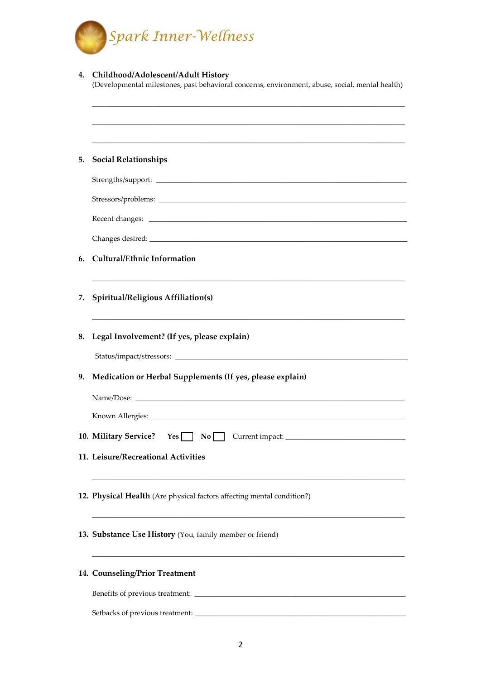

| 4. | Childhood/Adolescent/Adult History<br>(Developmental milestones, past behavioral concerns, environment, abuse, social, mental health) |  |
|----|---------------------------------------------------------------------------------------------------------------------------------------|--|
|    |                                                                                                                                       |  |
| 5. | <b>Social Relationships</b>                                                                                                           |  |
|    |                                                                                                                                       |  |
|    |                                                                                                                                       |  |
|    |                                                                                                                                       |  |
|    |                                                                                                                                       |  |
| 6. | <b>Cultural/Ethnic Information</b>                                                                                                    |  |
| 7. | Spiritual/Religious Affiliation(s)                                                                                                    |  |
|    | 8. Legal Involvement? (If yes, please explain)                                                                                        |  |
|    |                                                                                                                                       |  |
| 9. | Medication or Herbal Supplements (If yes, please explain)                                                                             |  |
|    |                                                                                                                                       |  |
|    |                                                                                                                                       |  |
|    | 10. Military Service?<br>Yes<br>No                                                                                                    |  |
|    | 11. Leisure/Recreational Activities                                                                                                   |  |
|    | 12. Physical Health (Are physical factors affecting mental condition?)                                                                |  |
|    | 13. Substance Use History (You, family member or friend)                                                                              |  |
|    | 14. Counseling/Prior Treatment                                                                                                        |  |
|    |                                                                                                                                       |  |
|    |                                                                                                                                       |  |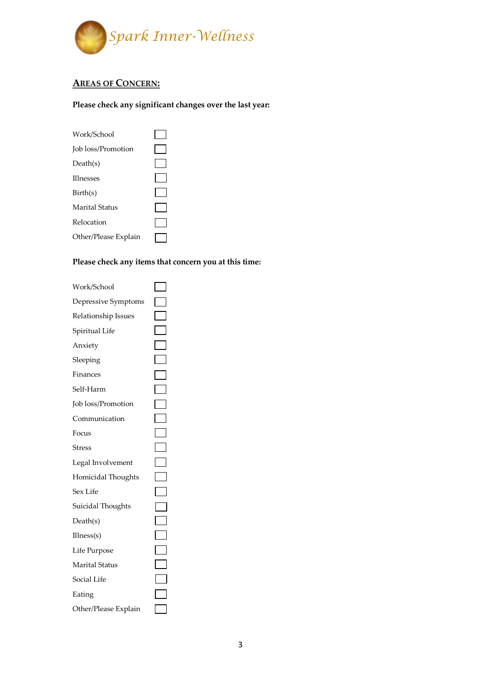

## **AREAS OF CONCERN:**

## **Please check any significant changes over the last year:**

| Work/School           |  |
|-----------------------|--|
| Job loss/Promotion    |  |
| Death(s)              |  |
| <b>Illnesses</b>      |  |
| Birth(s)              |  |
| <b>Marital Status</b> |  |
| Relocation            |  |
| Other/Please Explain  |  |
|                       |  |

## **Please check any items that concern you at this time:**

| Work/School           |                             |
|-----------------------|-----------------------------|
| Depressive Symptoms   |                             |
| Relationship Issues   |                             |
| Spiritual Life        |                             |
| Anxiety               |                             |
| Sleeping              |                             |
| Finances              |                             |
| Self-Harm             | $\Box$                      |
| Job loss/Promotion    | $\blacksquare$              |
| Communication         | $\Box$                      |
| Focus                 |                             |
| <b>Stress</b>         | $\mathcal{L}_{\mathcal{A}}$ |
| Legal Involvement     | $\Box$                      |
| Homicidal Thoughts    | $\blacksquare$              |
| Sex Life              | $\overline{\phantom{0}}$    |
| Suicidal Thoughts     |                             |
| Death(s)              | $\Box$                      |
| Ilness(s)             |                             |
| Life Purpose          |                             |
| <b>Marital Status</b> |                             |
| Social Life           |                             |
| Eating                |                             |
| Other/Please Explain  |                             |